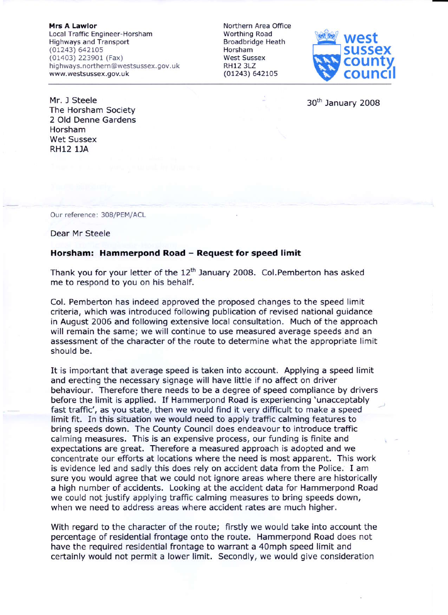**Mrs A Lawlor** Local Traffic Engineer-Horsham Highways and Transport (01243) 64210s (01403) 223901 (Fax) highways.northern@westsussex.gov.uk www.westsussex. gov. uk

Northern Area Office Worthing Road Broadbridge Heath Horsham West Sussex RH12 3LZ (01243) 6421Os



30<sup>th</sup> January 2008

Mr. J Steele The Horsham Society 2 Old Denne Gardens Horsham Wet Sussex RH12 lJA

Our reference: 308/PEM/ACL

Dear Mr Steele

## Horsham: Hammerpond Road - Request for speed limit

Thank you for your letter of the  $12<sup>th</sup>$  January 2008. Col.Pemberton has asked me to respond to you on his behalf.

Col. Pemberton has lndeed approved the proposed changes to the speed limit crlteria, whlch was introduced following publication of revised national guidance in August 2006 and following extensive local consultation. Much of the approach will remain the same; we will continue to use measured average speeds and an assessment of the character of the route to determine what the appropriate limit should be.

It is important that average speed is taken into account. Applying a speed limit and erecting the necessary signage will have little if no affect on driver behaviour. Therefore there needs to be a degree of speed compliance by drivers before the limit is applied. If Hammerpond Road is experiencing 'unacceptably fast traffic', as you state, then we would find it very difficult to make a speed limit fit. ln this situation we would need to apply traffic calming features to bring speeds down. The County Council does endeavour to introduce traffic calming measures. This is an expensive process, our funding is finite and expectations are great. Therefore a measured approach is adopted and we concentrate our efforts at locations where the need is most apparent. This work is evidence led and sadly this does rely on accident data from the Police. I am sure you would agree that we could not ignore areas where there are historically a high number of accidents. Looking at the accident data for Hammerpond Road we could not justify applying traffic calming measures to bring speeds down, when we need to address areas where accident rates are much higher.

With regard to the character of the route; firstly we would take into account the percentage of residential frontage onto the route, Hammerpond Road does not have the required residential frontage to warrant a 40mph speed limit and certainly would not permit a lower limit. Secondly, we would give consideration